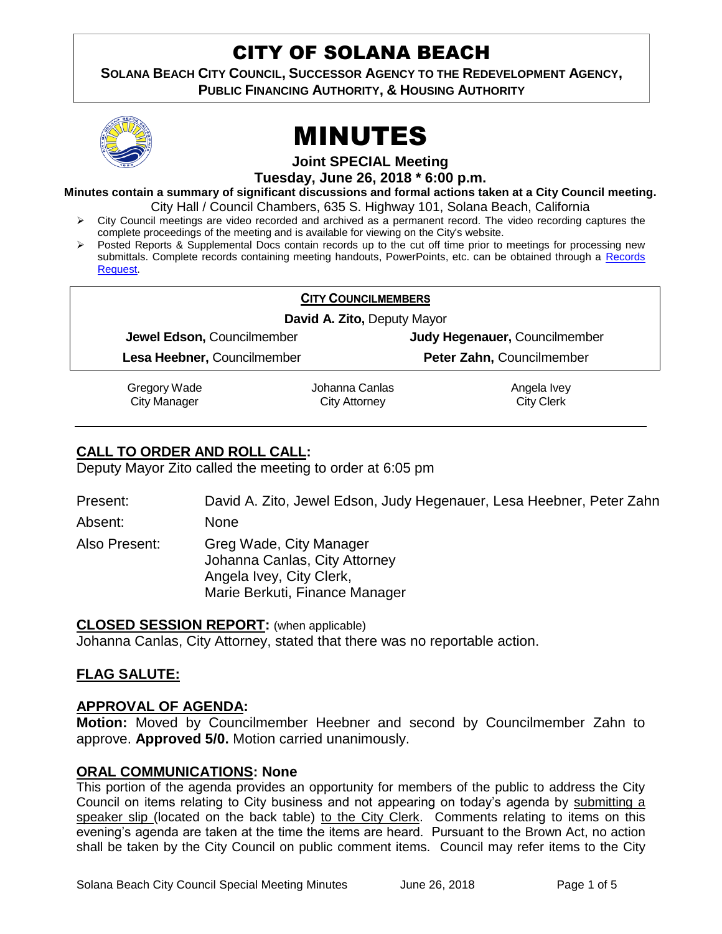# CITY OF SOLANA BEACH

**SOLANA BEACH CITY COUNCIL, SUCCESSOR AGENCY TO THE REDEVELOPMENT AGENCY, PUBLIC FINANCING AUTHORITY, & HOUSING AUTHORITY** 





**Joint SPECIAL Meeting**

**Tuesday, June 26, 2018 \* 6:00 p.m.**

**Minutes contain a summary of significant discussions and formal actions taken at a City Council meeting.** City Hall / Council Chambers, 635 S. Highway 101, Solana Beach, California

- City Council meetings are video recorded and archived as a permanent record. The video recording captures the complete proceedings of the meeting and is available for viewing on the City's website.
- $\triangleright$  Posted Reports & Supplemental Docs contain records up to the cut off time prior to meetings for processing new submittals. Complete records containing meeting handouts, PowerPoints, etc. can be obtained through a [Records](http://www.ci.solana-beach.ca.us/index.asp?SEC=F5D45D10-70CE-4291-A27C-7BD633FC6742&Type=B_BASIC)  [Request.](http://www.ci.solana-beach.ca.us/index.asp?SEC=F5D45D10-70CE-4291-A27C-7BD633FC6742&Type=B_BASIC)

| <b>CITY COUNCILMEMBERS</b>  |                |                               |  |
|-----------------------------|----------------|-------------------------------|--|
| David A. Zito, Deputy Mayor |                |                               |  |
| Jewel Edson, Councilmember  |                | Judy Hegenauer, Councilmember |  |
| Lesa Heebner, Councilmember |                | Peter Zahn, Councilmember     |  |
| Gregory Wade                | Johanna Canlas | Angela Ivey                   |  |
| <b>City Manager</b>         | City Attorney  | <b>City Clerk</b>             |  |

# **CALL TO ORDER AND ROLL CALL:**

Deputy Mayor Zito called the meeting to order at 6:05 pm

Present: David A. Zito, Jewel Edson, Judy Hegenauer, Lesa Heebner, Peter Zahn Absent: None

Also Present: Greg Wade, City Manager Johanna Canlas, City Attorney Angela Ivey, City Clerk, Marie Berkuti, Finance Manager

#### **CLOSED SESSION REPORT:** (when applicable)

Johanna Canlas, City Attorney, stated that there was no reportable action.

#### **FLAG SALUTE:**

#### **APPROVAL OF AGENDA:**

**Motion:** Moved by Councilmember Heebner and second by Councilmember Zahn to approve. **Approved 5/0.** Motion carried unanimously.

#### **ORAL COMMUNICATIONS: None**

This portion of the agenda provides an opportunity for members of the public to address the City Council on items relating to City business and not appearing on today's agenda by submitting a speaker slip (located on the back table) to the City Clerk. Comments relating to items on this evening's agenda are taken at the time the items are heard. Pursuant to the Brown Act, no action shall be taken by the City Council on public comment items. Council may refer items to the City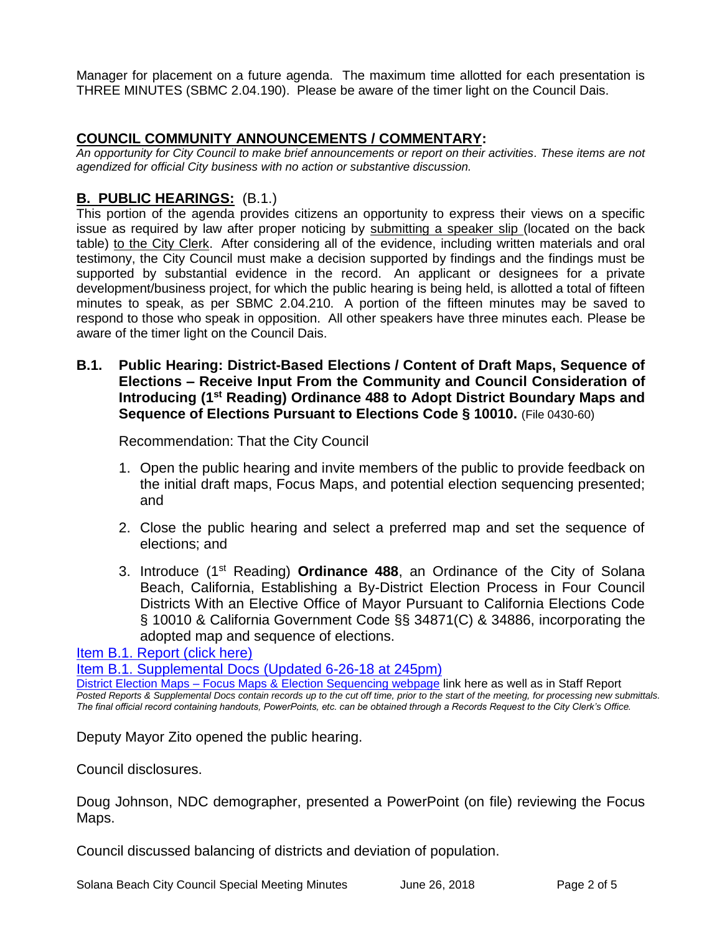Manager for placement on a future agenda. The maximum time allotted for each presentation is THREE MINUTES (SBMC 2.04.190). Please be aware of the timer light on the Council Dais.

### **COUNCIL COMMUNITY ANNOUNCEMENTS / COMMENTARY:**

*An opportunity for City Council to make brief announcements or report on their activities. These items are not agendized for official City business with no action or substantive discussion.* 

# **B. PUBLIC HEARINGS:** (B.1.)

This portion of the agenda provides citizens an opportunity to express their views on a specific issue as required by law after proper noticing by submitting a speaker slip (located on the back table) to the City Clerk. After considering all of the evidence, including written materials and oral testimony, the City Council must make a decision supported by findings and the findings must be supported by substantial evidence in the record. An applicant or designees for a private development/business project, for which the public hearing is being held, is allotted a total of fifteen minutes to speak, as per SBMC 2.04.210. A portion of the fifteen minutes may be saved to respond to those who speak in opposition. All other speakers have three minutes each. Please be aware of the timer light on the Council Dais.

**B.1. Public Hearing: District-Based Elections / Content of Draft Maps, Sequence of Elections – Receive Input From the Community and Council Consideration of Introducing (1st Reading) Ordinance 488 to Adopt District Boundary Maps and Sequence of Elections Pursuant to Elections Code § 10010.** (File 0430-60)

Recommendation: That the City Council

- 1. Open the public hearing and invite members of the public to provide feedback on the initial draft maps, Focus Maps, and potential election sequencing presented; and
- 2. Close the public hearing and select a preferred map and set the sequence of elections; and
- 3. Introduce (1st Reading) **Ordinance 488**, an Ordinance of the City of Solana Beach, California, Establishing a By-District Election Process in Four Council Districts With an Elective Office of Mayor Pursuant to California Elections Code § 10010 & California Government Code §§ 34871(C) & 34886, incorporating the adopted map and sequence of elections.

[Item B.1. Report \(click here\)](https://solanabeach.govoffice3.com/vertical/Sites/%7B840804C2-F869-4904-9AE3-720581350CE7%7D/uploads/Item_B.1._Report_(click_here)_06-26-18.pdf)

[Item B.1. Supplemental Docs](https://solanabeach.govoffice3.com/vertical/Sites/%7B840804C2-F869-4904-9AE3-720581350CE7%7D/uploads/B.1._Supplemental_Items_(6-26_at_3pm)_-_R.pdf) (Updated 6-26-18 at 245pm)

District Election Maps – [Focus Maps & Election Sequencing webpage](District%20Election%20Maps%20–%20Focus%20Maps%20&%20Election%20Sequencing%20webpage) link here as well as in Staff Report *Posted Reports & Supplemental Docs contain records up to the cut off time, prior to the start of the meeting, for processing new submittals. The final official record containing handouts, PowerPoints, etc. can be obtained through a Records Request to the City Clerk's Office.*

Deputy Mayor Zito opened the public hearing.

Council disclosures.

Doug Johnson, NDC demographer, presented a PowerPoint (on file) reviewing the Focus Maps.

Council discussed balancing of districts and deviation of population.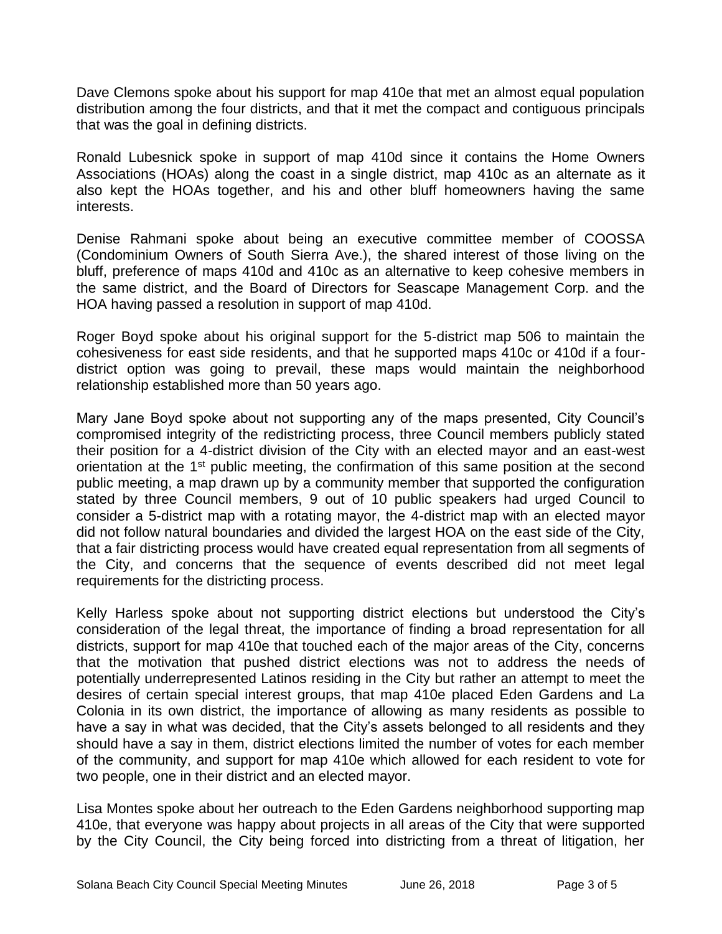Dave Clemons spoke about his support for map 410e that met an almost equal population distribution among the four districts, and that it met the compact and contiguous principals that was the goal in defining districts.

Ronald Lubesnick spoke in support of map 410d since it contains the Home Owners Associations (HOAs) along the coast in a single district, map 410c as an alternate as it also kept the HOAs together, and his and other bluff homeowners having the same interests.

Denise Rahmani spoke about being an executive committee member of COOSSA (Condominium Owners of South Sierra Ave.), the shared interest of those living on the bluff, preference of maps 410d and 410c as an alternative to keep cohesive members in the same district, and the Board of Directors for Seascape Management Corp. and the HOA having passed a resolution in support of map 410d.

Roger Boyd spoke about his original support for the 5-district map 506 to maintain the cohesiveness for east side residents, and that he supported maps 410c or 410d if a fourdistrict option was going to prevail, these maps would maintain the neighborhood relationship established more than 50 years ago.

Mary Jane Boyd spoke about not supporting any of the maps presented, City Council's compromised integrity of the redistricting process, three Council members publicly stated their position for a 4-district division of the City with an elected mayor and an east-west orientation at the 1<sup>st</sup> public meeting, the confirmation of this same position at the second public meeting, a map drawn up by a community member that supported the configuration stated by three Council members, 9 out of 10 public speakers had urged Council to consider a 5-district map with a rotating mayor, the 4-district map with an elected mayor did not follow natural boundaries and divided the largest HOA on the east side of the City, that a fair districting process would have created equal representation from all segments of the City, and concerns that the sequence of events described did not meet legal requirements for the districting process.

Kelly Harless spoke about not supporting district elections but understood the City's consideration of the legal threat, the importance of finding a broad representation for all districts, support for map 410e that touched each of the major areas of the City, concerns that the motivation that pushed district elections was not to address the needs of potentially underrepresented Latinos residing in the City but rather an attempt to meet the desires of certain special interest groups, that map 410e placed Eden Gardens and La Colonia in its own district, the importance of allowing as many residents as possible to have a say in what was decided, that the City's assets belonged to all residents and they should have a say in them, district elections limited the number of votes for each member of the community, and support for map 410e which allowed for each resident to vote for two people, one in their district and an elected mayor.

Lisa Montes spoke about her outreach to the Eden Gardens neighborhood supporting map 410e, that everyone was happy about projects in all areas of the City that were supported by the City Council, the City being forced into districting from a threat of litigation, her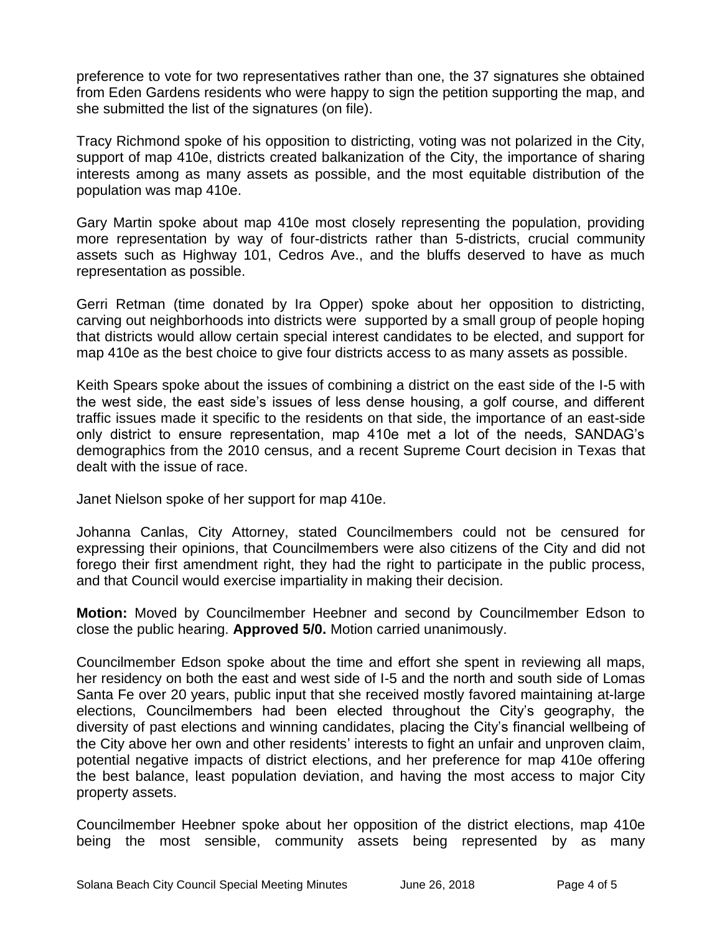preference to vote for two representatives rather than one, the 37 signatures she obtained from Eden Gardens residents who were happy to sign the petition supporting the map, and she submitted the list of the signatures (on file).

Tracy Richmond spoke of his opposition to districting, voting was not polarized in the City, support of map 410e, districts created balkanization of the City, the importance of sharing interests among as many assets as possible, and the most equitable distribution of the population was map 410e.

Gary Martin spoke about map 410e most closely representing the population, providing more representation by way of four-districts rather than 5-districts, crucial community assets such as Highway 101, Cedros Ave., and the bluffs deserved to have as much representation as possible.

Gerri Retman (time donated by Ira Opper) spoke about her opposition to districting, carving out neighborhoods into districts were supported by a small group of people hoping that districts would allow certain special interest candidates to be elected, and support for map 410e as the best choice to give four districts access to as many assets as possible.

Keith Spears spoke about the issues of combining a district on the east side of the I-5 with the west side, the east side's issues of less dense housing, a golf course, and different traffic issues made it specific to the residents on that side, the importance of an east-side only district to ensure representation, map 410e met a lot of the needs, SANDAG's demographics from the 2010 census, and a recent Supreme Court decision in Texas that dealt with the issue of race.

Janet Nielson spoke of her support for map 410e.

Johanna Canlas, City Attorney, stated Councilmembers could not be censured for expressing their opinions, that Councilmembers were also citizens of the City and did not forego their first amendment right, they had the right to participate in the public process, and that Council would exercise impartiality in making their decision.

**Motion:** Moved by Councilmember Heebner and second by Councilmember Edson to close the public hearing. **Approved 5/0.** Motion carried unanimously.

Councilmember Edson spoke about the time and effort she spent in reviewing all maps, her residency on both the east and west side of I-5 and the north and south side of Lomas Santa Fe over 20 years, public input that she received mostly favored maintaining at-large elections, Councilmembers had been elected throughout the City's geography, the diversity of past elections and winning candidates, placing the City's financial wellbeing of the City above her own and other residents' interests to fight an unfair and unproven claim, potential negative impacts of district elections, and her preference for map 410e offering the best balance, least population deviation, and having the most access to major City property assets.

Councilmember Heebner spoke about her opposition of the district elections, map 410e being the most sensible, community assets being represented by as many